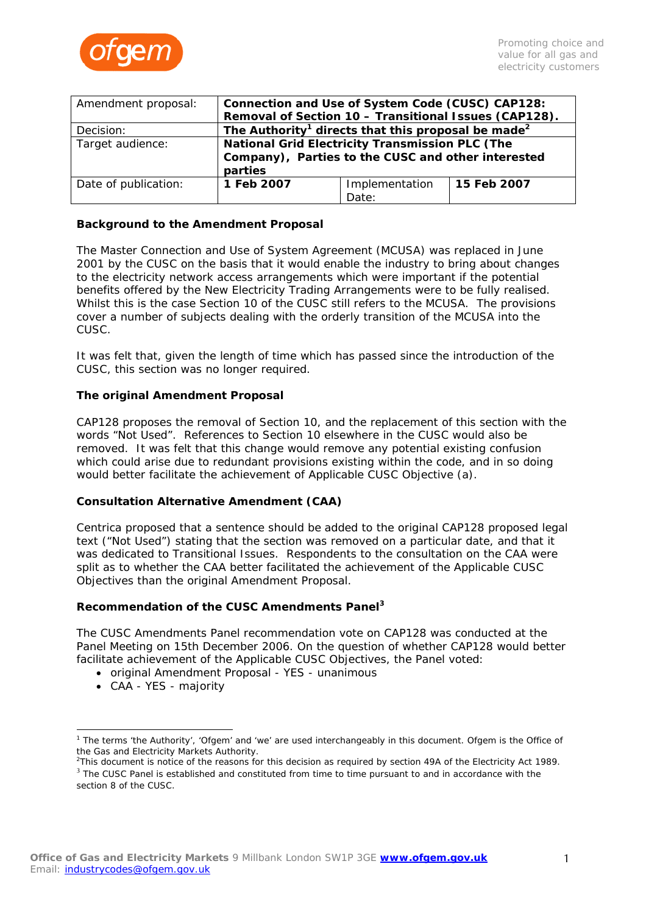

| Amendment proposal:  | Connection and Use of System Code (CUSC) CAP128:<br>Removal of Section 10 - Transitional Issues (CAP128). |                |             |
|----------------------|-----------------------------------------------------------------------------------------------------------|----------------|-------------|
| Decision:            | The Authority <sup>1</sup> directs that this proposal be made <sup>2</sup>                                |                |             |
| Target audience:     | <b>National Grid Electricity Transmission PLC (The</b>                                                    |                |             |
|                      | Company), Parties to the CUSC and other interested                                                        |                |             |
|                      | parties                                                                                                   |                |             |
| Date of publication: | 1 Feb 2007                                                                                                | Implementation | 15 Feb 2007 |
|                      |                                                                                                           | Date:          |             |

### **Background to the Amendment Proposal**

The Master Connection and Use of System Agreement (MCUSA) was replaced in June 2001 by the CUSC on the basis that it would enable the industry to bring about changes to the electricity network access arrangements which were important if the potential benefits offered by the New Electricity Trading Arrangements were to be fully realised. Whilst this is the case Section 10 of the CUSC still refers to the MCUSA. The provisions cover a number of subjects dealing with the orderly transition of the MCUSA into the CUSC.

It was felt that, given the length of time which has passed since the introduction of the CUSC, this section was no longer required.

## **The original Amendment Proposal**

CAP128 proposes the removal of Section 10, and the replacement of this section with the words "Not Used". References to Section 10 elsewhere in the CUSC would also be removed. It was felt that this change would remove any potential existing confusion which could arise due to redundant provisions existing within the code, and in so doing would better facilitate the achievement of Applicable CUSC Objective (a).

#### **Consultation Alternative Amendment (CAA)**

Centrica proposed that a sentence should be added to the original CAP128 proposed legal text ("Not Used") stating that the section was removed on a particular date, and that it was dedicated to Transitional Issues. Respondents to the consultation on the CAA were split as to whether the CAA better facilitated the achievement of the Applicable CUSC Objectives than the original Amendment Proposal.

#### **Recommendation of the CUSC Amendments Panel [3](#page-0-2)**

The CUSC Amendments Panel recommendation vote on CAP128 was conducted at the Panel Meeting on 15th December 2006. On the question of whether CAP128 would better facilitate achievement of the Applicable CUSC Objectives, the Panel voted:

- original Amendment Proposal YES unanimous
- CAA YES majority

<span id="page-0-0"></span><sup>&</sup>lt;sup>1</sup> The terms 'the Authority', 'Ofgem' and 'we' are used interchangeably in this document. Ofgem is the Office of the Gas and Electricity Markets Authority.

<span id="page-0-2"></span><span id="page-0-1"></span><sup>&</sup>lt;sup>2</sup>This document is notice of the reasons for this decision as required by section 49A of the Electricity Act 1989.  $3$  The CUSC Panel is established and constituted from time to time pursuant to and in accordance with the

section 8 of the CUSC.